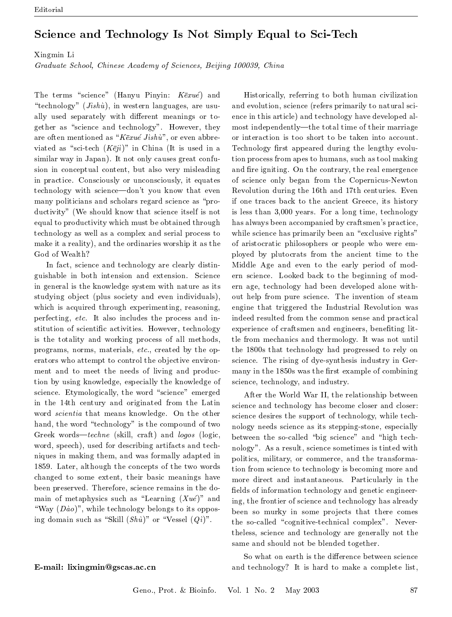## Science and Technology Is Not Simply Equal to Sci-Tech

Xingmin Li

Graduate School, Chinese Academy of Sciences, Beijing 100039, China

The terms "science" (Hanyu Pinyin:  $K\bar{e}xu\acute{e}$ ) and "technology"  $(Jishu)$ , in western languages, are usually used separately with different meanings or together as "science and technology". However, they are often mentioned as " $K\bar{e}xu\acute{e}Jishu$ ", or even abbreviated as "sci-tech  $(K\bar{e}ji)$ " in China (It is used in a similar way in Japan). It not only causes great confusion in conceptual content, but also very misleading in practice. Consciously or unconsciously, it equates technology with science—don't you know that even many politicians and scholars regard science as "productivity" (We should know that science itself is not equal to productivity which must be obtained through technology as well as a complex and serial process to make it a reality), and the ordinaries worship it as the God of Wealth?

In fact, science and technology are clearly distinguishable in both intension and extension. Science in general is the knowledge system with nature as its studying object (plus society and even individuals), which is acquired through experimenting, reasoning, perfecting, etc. It also includes the process and institution of scientific activities. However, technology is the totality and working process of all methods, programs, norms, materials, etc., created by the operators who attempt to control the objective environment and to meet the needs of living and production by using knowledge, especially the knowledge of science. Etymologically, the word "science" emerged in the 14th century and originated from the Latin word *scientia* that means knowledge. On the other hand, the word "technology" is the compound of two Greek words—techne (skill, craft) and logos (logic, word, speech), used for describing artifacts and techniques in making them, and was formally adapted in 1859. Later, although the concepts of the two words changed to some extent, their basic meanings have been preserved. Therefore, science remains in the domain of metaphysics such as "Learning  $(Xu\acute{e})$ " and "Way  $(D\dot{a}o)$ ", while technology belongs to its opposing domain such as "Skill  $(Shu)$ " or "Vessel  $(Qi)$ ".

## E-mail: lixingmin@gscas.ac.cn

Historically, referring to both human civilization and evolution, science (refers primarily to natural science in this article) and technology have developed almost independently—the total time of their marriage or interaction is too short to be taken into account. Technology first appeared during the lengthy evolution process from apes to humans, such as tool making and fire igniting. On the contrary, the real emergence of science only began from the Copernicus-Newton Revolution during the 16th and 17th centuries. Even if one traces back to the ancient Greece, its history is less than 3,000 years. For a long time, technology has always been accompanied by craftsmen's practice, while science has primarily been an "exclusive rights" of aristocratic philosophers or people who were employed by plutocrats from the ancient time to the Middle Age and even to the early period of modern science. Looked back to the beginning of modern age, technology had been developed alone without help from pure science. The invention of steam engine that triggered the Industrial Revolution was indeed resulted from the common sense and practical experience of craftsmen and engineers, benefiting little from mechanics and thermology. It was not until the 1800s that technology had progressed to rely on science. The rising of dye-synthesis industry in Germany in the 1850s was the first example of combining science, technology, and industry.

After the World War II, the relationship between science and technology has become closer and closer: science desires the support of technology, while technology needs science as its stepping-stone, especially between the so-called "big science" and "high technology". As a result, science sometimes is tinted with politics, military, or commerce, and the transformation from science to technology is becoming more and more direct and instantaneous. Particularly in the fields of information technology and genetic engineering, the frontier of science and technology has already been so murky in some projects that there comes the so-called "cognitive-technical complex". Nevertheless, science and technology are generally not the same and should not be blended together.

So what on earth is the difference between science and technology? It is hard to make a complete list,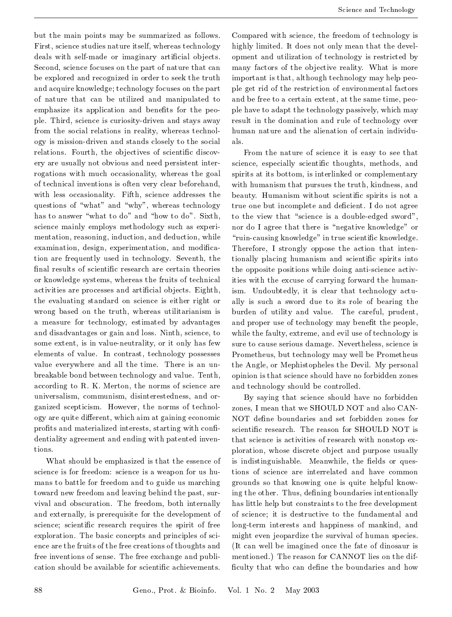but the main points may be summarized as follows. First, science studies nature itself, whereas technology deals with self-made or imaginary artificial objects. Second, science focuses on the part of nature that can be explored and recognized in order to seek the truth and acquire knowledge; technology focuses on the part of nature that can be utilized and manipulated to emphasize its application and benefits for the people. Third, science is curiosity-driven and stays away from the social relations in reality, whereas technology is mission-driven and stands closely to the social relations. Fourth, the objectives of scientific discovery are usually not obvious and need persistent interrogations with much occasionality, whereas the goal of technical inventions is often very clear beforehand, with less occasionality. Fifth, science addresses the questions of "what" and "why", whereas technology has to answer "what to do" and "how to do". Sixth, science mainly employs methodology such as experimentation, reasoning, induction, and deduction, while examination, design, experimentation, and modification are frequently used in technology. Seventh, the final results of scientific research are certain theories or knowledge systems, whereas the fruits of technical activities are processes and artificial objects. Eighth, the evaluating standard on science is either right or wrong based on the truth, whereas utilitarianism is a measure for technology, estimated by advantages and disadvantages or gain and loss. Ninth, science, to some extent, is in value-neutrality, or it only has few elements of value. In contrast, technology possesses value everywhere and all the time. There is an unbreakable bond between technology and value. Tenth, according to R. K. Merton, the norms of science are universalism, communism, disinterestedness, and organized scepticism. However, the norms of technology are quite different, which aim at gaining economic profits and materialized interests, starting with confidentiality agreement and ending with patented inventions.

What should be emphasized is that the essence of science is for freedom: science is a weapon for us humans to battle for freedom and to guide us marching toward new freedom and leaving behind the past, survival and obscuration. The freedom, both internally and externally, is prerequisite for the development of science; scientific research requires the spirit of free exploration. The basic concepts and principles of science are the fruits of the free creations of thoughts and free inventions of sense. The free exchange and publication should be available for scientific achievements.

Compared with science, the freedom of technology is highly limited. It does not only mean that the development and utilization of technology is restricted by many factors of the objective reality. What is more important is that, although technology may help people get rid of the restriction of environmental factors and be free to a certain extent, at the same time, people have to adapt the technology passively, which may result in the domination and rule of technology over human nature and the alienation of certain individuals.

From the nature of science it is easy to see that science, especially scientific thoughts, methods, and spirits at its bottom, is interlinked or complementary with humanism that pursues the truth, kindness, and beauty. Humanism without scientific spirits is not a true one but incomplete and deficient. I do not agree to the view that "science is a double-edged sword", nor do I agree that there is "negative knowledge" or "ruin-causing knowledge" in true scientific knowledge. Therefore, I strongly oppose the action that intentionally placing humanism and scientific spirits into the opposite positions while doing anti-science activities with the excuse of carrying forward the humanism. Undoubtedly, it is clear that technology actually is such a sword due to its role of bearing the burden of utility and value. The careful, prudent, and proper use of technology may benefit the people, while the faulty, extreme, and evil use of technology is sure to cause serious damage. Nevertheless, science is Prometheus, but technology may well be Prometheus the Angle, or Mephistopheles the Devil. My personal opinion is that science should have no forbidden zones and technology should be controlled.

By saying that science should have no forbidden zones, I mean that we SHOULD NOT and also CAN-NOT define boundaries and set forbidden zones for scientific research. The reason for SHOULD NOT is that science is activities of research with nonstop exploration, whose discrete object and purpose usually is indistinguishable. Meanwhile, the fields or questions of science are interrelated and have common grounds so that knowing one is quite helpful knowing the other. Thus, defining boundaries intentionally has little help but constraints to the free development of science; it is destructive to the fundamental and long-term interests and happiness of mankind, and might even jeopardize the survival of human species. (It can well be imagined once the fate of dinosaur is mentioned.) The reason for CANNOT lies on the difficulty that who can define the boundaries and how